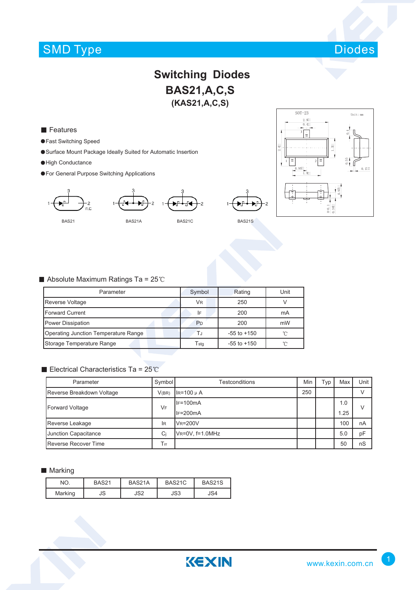# SMD Type Diodes



## **Switching Diodes BAS21,A,C,S (KAS21,A,C,S)**

**Features** 

- Fast Switching Speed
- Surface Mount Package Ideally Suited for Automatic Insertion
- High Conductance
- For General Purpose Switching Applications





### Absolute Maximum Ratings Ta =  $25^{\circ}$ C

| Parameter                            | Symbol                      | Rating          | Unit |  |
|--------------------------------------|-----------------------------|-----------------|------|--|
| Reverse Voltage                      | <b>VR</b>                   | 250             |      |  |
| <b>Forward Current</b>               | I۴                          | 200             | mA   |  |
| Power Dissipation                    | P <sub>D</sub>              | 200             | mW   |  |
| Operating Junction Temperature Range | ΤJ                          | $-55$ to $+150$ | ิ่∩  |  |
| Storage Temperature Range            | $\mathsf{T}_{\mathsf{std}}$ | $-55$ to $+150$ | °∩   |  |

### Electrical Characteristics Ta =  $25^{\circ}$ C

| Parameter                     | Symbol | Testconditions             | Min | ™ур | Max  | Unit |  |
|-------------------------------|--------|----------------------------|-----|-----|------|------|--|
| Reverse Breakdown Voltage     | V(BR)  | $IR=100 \mu A$             | 250 |     |      |      |  |
| Forward Voltage               | VF     | $IF=100mA$                 |     |     | 1.0  |      |  |
|                               |        | $IF=200mA$                 |     |     | 1.25 |      |  |
| Reverse Leakage               | lR     | $V_R = 200V$               |     |     | 100  | nA   |  |
| Junction Capacitance          | Ci     | $V_R = 0V$ , $f = 1.0 MHz$ |     |     | 5.0  | pF   |  |
| <b>I</b> Reverse Recover Time | Trr    |                            |     |     | 50   | nS   |  |

KEXIN

#### **Marking**

| NO.     | <b>BAS21</b> | BAS21A | BAS21C | BAS21S |
|---------|--------------|--------|--------|--------|
| Marking | JS           | JS2    | JS3    | JS4    |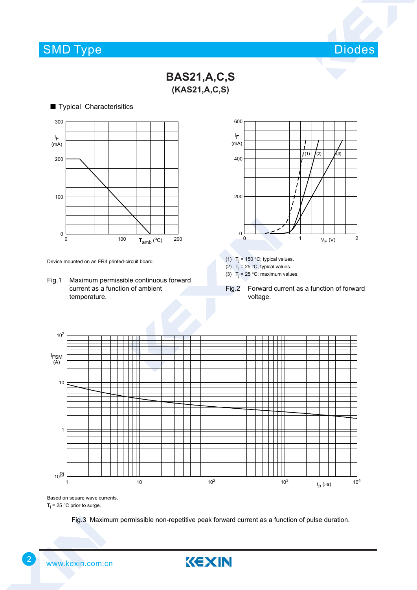## SMD Type



**BAS21,A,C,S (KAS21,A,C,S)**

■ Typical Characterisitics *handbook, halfpage* 0 100 T<sub>amb</sub> (°C) 200 300 200  $0\frac{L}{0}$ 100 I F  $(mA)$ 

Device mounted on an FR4 printed-circuit board.

Fig.1 Maximum permissible continuous forward current as a function of ambient temperature.



(1)  $T_i = 150 °C$ ; typical values.

(2)  $T_j = 25 °C$ ; typical values.

(3)  $T_j = 25$  °C; maximum values.

Fig.2 Forward current as a function of forward voltage.



Based on square wave currents.

 $T_j$  = 25 °C prior to surge.

Fig.3 Maximum permissible non-repetitive peak forward current as a function of pulse duration.